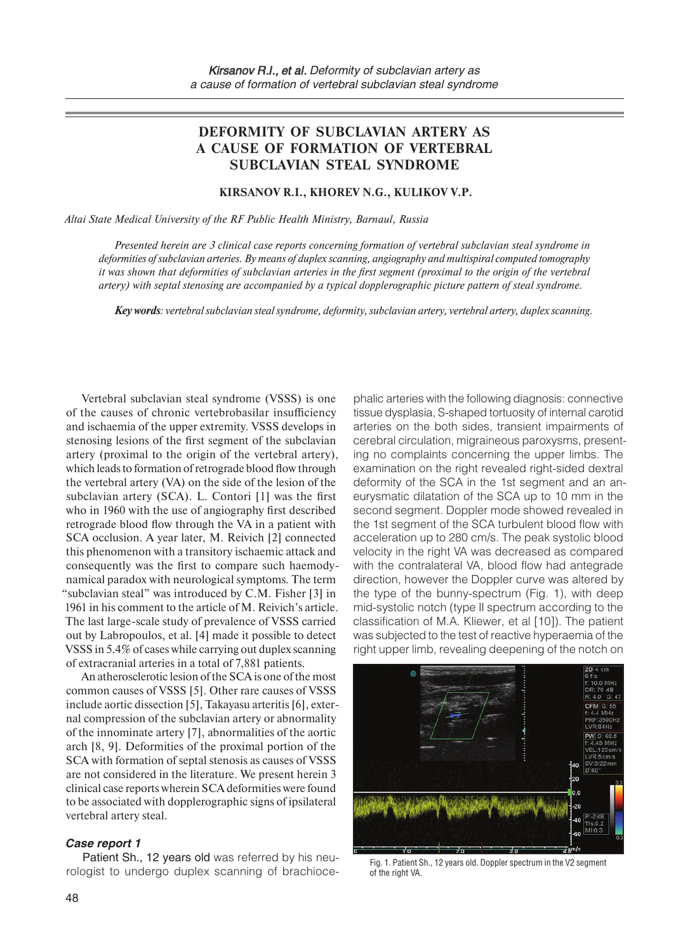# **DEFORMITY OF SUBCLAVIAN ARTERY AS A CAUSE OF FORMATION OF VERTEBRAL SUBCLAVIAN STEAL SYNDROME**

## **Kirsanov R.I., Khorev N.G., Kulikov V.P.**

*Altai State Medical University of the RF Public Health Ministry, Barnaul, Russia* 

*Presented herein are 3 clinical case reports concerning formation of vertebral subclavian steal syndrome in deformities of subclavian arteries. By means of duplex scanning, angiography and multispiral computed tomography it was shown that deformities of subclavian arteries in the first segment (proximal to the origin of the vertebral artery) with septal stenosing are accompanied by a typical dopplerographic picture pattern of steal syndrome.*

*Key words: vertebral subclavian steal syndrome, deformity, subclavian artery, vertebral artery, duplex scanning.*

Vertebral subclavian steal syndrome (VSSS) is one of the causes of chronic vertebrobasilar insufficiency and ischaemia of the upper extremity. VSSS develops in stenosing lesions of the first segment of the subclavian artery (proximal to the origin of the vertebral artery), which leads to formation of retrograde blood flow through the vertebral artery (VA) on the side of the lesion of the subclavian artery (SCA). L. Contori [1] was the first who in 1960 with the use of angiography first described retrograde blood flow through the VA in a patient with SCA occlusion. A year later, M. Reivich [2] connected this phenomenon with a transitory ischaemic attack and consequently was the first to compare such haemodynamical paradox with neurological symptoms. The term "subclavian steal" was introduced by C.M. Fisher [3] in 1961 in his comment to the article of M. Reivich's article. The last large-scale study of prevalence of VSSS carried out by Labropoulos, et al. [4] made it possible to detect VSSS in 5.4% of cases while carrying out duplex scanning of extracranial arteries in a total of 7,881 patients.

An atherosclerotic lesion of the SCA is one of the most common causes of VSSS [5]. Other rare causes of VSSS include aortic dissection [5], Takayasu arteritis [6], external compression of the subclavian artery or abnormality of the innominate artery [7], abnormalities of the aortic arch [8, 9]. Deformities of the proximal portion of the SCA with formation of septal stenosis as causes of VSSS are not considered in the literature. We present herein 3 clinical case reports wherein SCA deformities were found to be associated with dopplerographic signs of ipsilateral vertebral artery steal.

#### *Case report 1*

Patient Sh., 12 years old was referred by his neurologist to undergo duplex scanning of brachiocephalic arteries with the following diagnosis: connective tissue dysplasia, S-shaped tortuosity of internal carotid arteries on the both sides, transient impairments of cerebral circulation, migraineous paroxysms, presenting no complaints concerning the upper limbs. The examination on the right revealed right-sided dextral deformity of the SCA in the 1st segment and an aneurysmatic dilatation of the SCA up to 10 mm in the second segment. Doppler mode showed revealed in the 1st segment of the SCA turbulent blood flow with acceleration up to 280 cm/s. The peak systolic blood velocity in the right VA was decreased as compared with the contralateral VA, blood flow had antegrade direction, however the Doppler curve was altered by the type of the bunny-spectrum (Fig. 1), with deep mid-systolic notch (type II spectrum according to the classification of M.A. Kliewer, et al [10]). The patient was subjected to the test of reactive hyperaemia of the right upper limb, revealing deepening of the notch on



Fig. 1. Patient Sh., 12 years old. Doppler spectrum in the V2 segment of the right VA.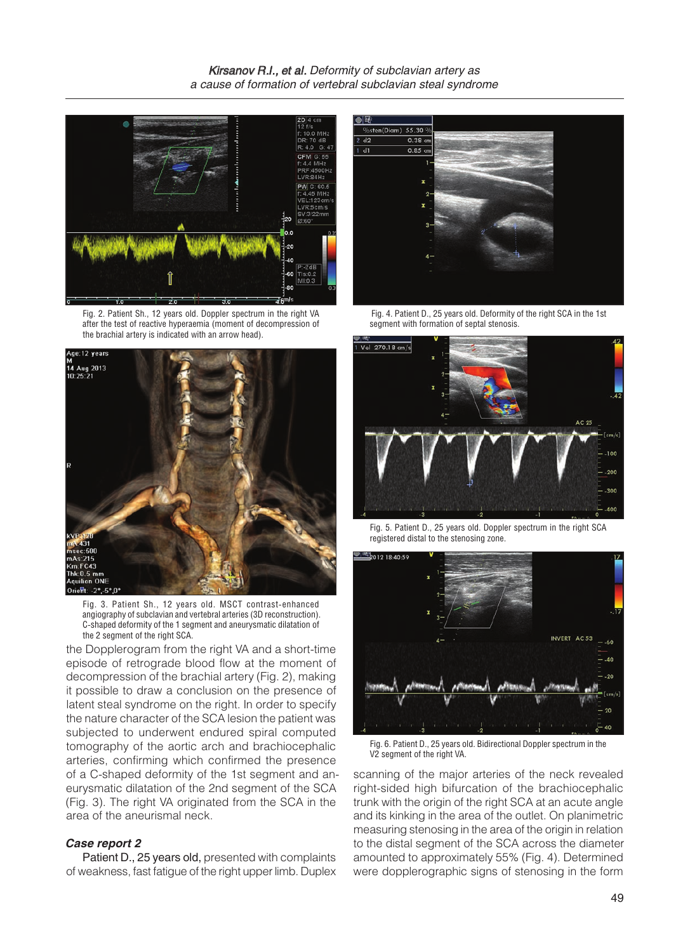

Fig. 2. Patient Sh., 12 years old. Doppler spectrum in the right VA after the test of reactive hyperaemia (moment of decompression of the brachial artery is indicated with an arrow head).



Fig. 3. Patient Sh., 12 years old. MSCT contrast-enhanced angiography of subclavian and vertebral arteries (3D reconstruction). C-shaped deformity of the 1 segment and aneurysmatic dilatation of the 2 segment of the right SCA.

the Dopplerogram from the right VA and a short-time episode of retrograde blood flow at the moment of decompression of the brachial artery (Fig. 2), making it possible to draw a conclusion on the presence of latent steal syndrome on the right. In order to specify the nature character of the SCA lesion the patient was subjected to underwent endured spiral computed tomography of the aortic arch and brachiocephalic arteries, confirming which confirmed the presence of a C-shaped deformity of the 1st segment and aneurysmatic dilatation of the 2nd segment of the SCA (Fig. 3). The right VA originated from the SCA in the area of the aneurismal neck.

### *Case report 2*

Patient D., 25 years old, presented with complaints of weakness, fast fatigue of the right upper limb. Duplex



 Fig. 4. Patient D., 25 years old. Deformity of the right SCA in the 1st segment with formation of septal stenosis.



Fig. 5. Patient D., 25 years old. Doppler spectrum in the right SCA registered distal to the stenosing zone.



Fig. 6. Patient D., 25 years old. Bidirectional Doppler spectrum in the V2 segment of the right VA.

scanning of the major arteries of the neck revealed right-sided high bifurcation of the brachiocephalic trunk with the origin of the right SCA at an acute angle and its kinking in the area of the outlet. On planimetric measuring stenosing in the area of the origin in relation to the distal segment of the SCA across the diameter amounted to approximately 55% (Fig. 4). Determined were dopplerographic signs of stenosing in the form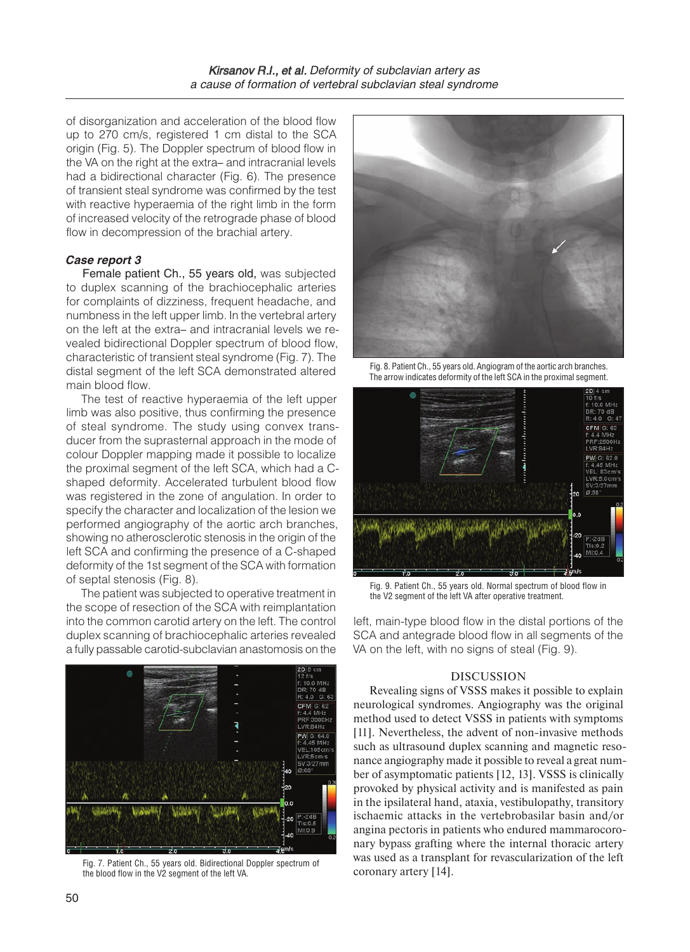of disorganization and acceleration of the blood flow up to 270 cm/s, registered 1 cm distal to the SCA origin (Fig. 5). The Doppler spectrum of blood flow in the VA on the right at the extra– and intracranial levels had a bidirectional character (Fig. 6). The presence of transient steal syndrome was confirmed by the test with reactive hyperaemia of the right limb in the form of increased velocity of the retrograde phase of blood flow in decompression of the brachial artery.

## *Case report 3*

Female patient Ch., 55 years old, was subjected to duplex scanning of the brachiocephalic arteries for complaints of dizziness, frequent headache, and numbness in the left upper limb. In the vertebral artery on the left at the extra– and intracranial levels we revealed bidirectional Doppler spectrum of blood flow, characteristic of transient steal syndrome (Fig. 7). The distal segment of the left SCA demonstrated altered main blood flow.

The test of reactive hyperaemia of the left upper limb was also positive, thus confirming the presence of steal syndrome. The study using convex transducer from the suprasternal approach in the mode of colour Doppler mapping made it possible to localize the proximal segment of the left SCA, which had a Cshaped deformity. Accelerated turbulent blood flow was registered in the zone of angulation. In order to specify the character and localization of the lesion we performed angiography of the aortic arch branches, showing no atherosclerotic stenosis in the origin of the left SCA and confirming the presence of a C-shaped deformity of the 1st segment of the SCA with formation of septal stenosis (Fig. 8).

The patient was subjected to operative treatment in the scope of resection of the SCA with reimplantation into the common carotid artery on the left. The control duplex scanning of brachiocephalic arteries revealed a fully passable carotid-subclavian anastomosis on the



Fig. 7. Patient Ch., 55 years old. Bidirectional Doppler spectrum of was used as a trainspr<br>the blood flow in the V2 segment of the left VA. Coronary artery [14]. the blood flow in the V2 segment of the left VA.



Fig. 8. Patient Ch., 55 years old. Angiogram of the aortic arch branches. The arrow indicates deformity of the left SCA in the proximal segment.



Fig. 9. Patient Ch., 55 years old. Normal spectrum of blood flow in the V2 segment of the left VA after operative treatment.

left, main-type blood flow in the distal portions of the SCA and antegrade blood flow in all segments of the VA on the left, with no signs of steal (Fig. 9).

## DISCUSSION

Revealing signs of VSSS makes it possible to explain neurological syndromes. Angiography was the original method used to detect VSSS in patients with symptoms [11]. Nevertheless, the advent of non-invasive methods such as ultrasound duplex scanning and magnetic resonance angiography made it possible to reveal a great number of asymptomatic patients [12, 13]. VSSS is clinically provoked by physical activity and is manifested as pain in the ipsilateral hand, ataxia, vestibulopathy, transitory ischaemic attacks in the vertebrobasilar basin and/or angina pectoris in patients who endured mammarocoronary bypass grafting where the internal thoracic artery was used as a transplant for revascularization of the left